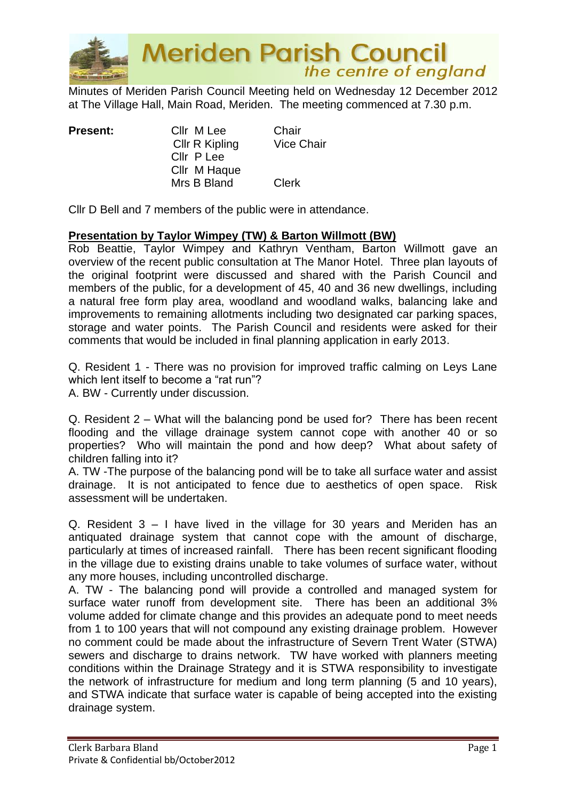

Minutes of Meriden Parish Council Meeting held on Wednesday 12 December 2012 at The Village Hall, Main Road, Meriden. The meeting commenced at 7.30 p.m.

**Present:** Cllr M Lee Chair Cllr R Kipling Vice Chair Cllr P Lee Cllr M Haque Mrs B Bland Clerk

Cllr D Bell and 7 members of the public were in attendance.

# **Presentation by Taylor Wimpey (TW) & Barton Willmott (BW)**

Rob Beattie, Taylor Wimpey and Kathryn Ventham, Barton Willmott gave an overview of the recent public consultation at The Manor Hotel. Three plan layouts of the original footprint were discussed and shared with the Parish Council and members of the public, for a development of 45, 40 and 36 new dwellings, including a natural free form play area, woodland and woodland walks, balancing lake and improvements to remaining allotments including two designated car parking spaces, storage and water points. The Parish Council and residents were asked for their comments that would be included in final planning application in early 2013.

Q. Resident 1 - There was no provision for improved traffic calming on Leys Lane which lent itself to become a "rat run"?

A. BW - Currently under discussion.

Q. Resident 2 – What will the balancing pond be used for? There has been recent flooding and the village drainage system cannot cope with another 40 or so properties? Who will maintain the pond and how deep? What about safety of children falling into it?

A. TW -The purpose of the balancing pond will be to take all surface water and assist drainage. It is not anticipated to fence due to aesthetics of open space. Risk assessment will be undertaken.

Q. Resident 3 – I have lived in the village for 30 years and Meriden has an antiquated drainage system that cannot cope with the amount of discharge, particularly at times of increased rainfall. There has been recent significant flooding in the village due to existing drains unable to take volumes of surface water, without any more houses, including uncontrolled discharge.

A. TW - The balancing pond will provide a controlled and managed system for surface water runoff from development site. There has been an additional 3% volume added for climate change and this provides an adequate pond to meet needs from 1 to 100 years that will not compound any existing drainage problem. However no comment could be made about the infrastructure of Severn Trent Water (STWA) sewers and discharge to drains network. TW have worked with planners meeting conditions within the Drainage Strategy and it is STWA responsibility to investigate the network of infrastructure for medium and long term planning (5 and 10 years), and STWA indicate that surface water is capable of being accepted into the existing drainage system.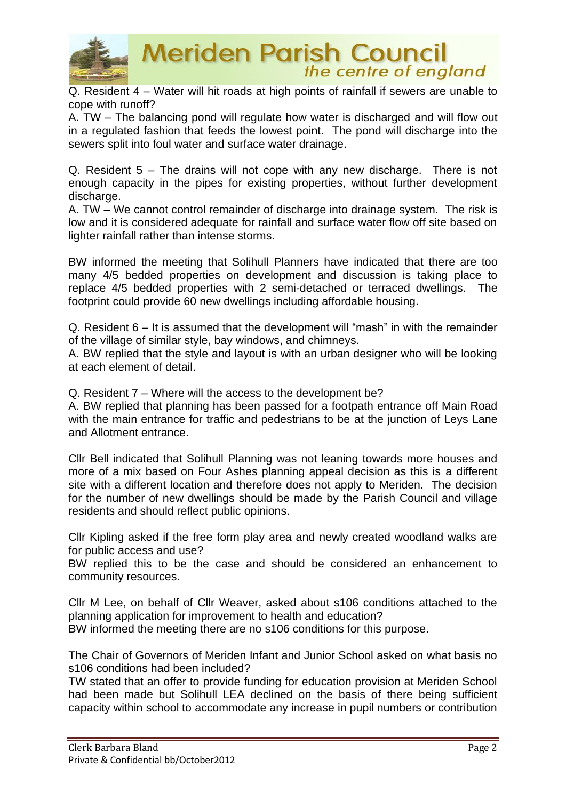

Q. Resident 4 – Water will hit roads at high points of rainfall if sewers are unable to cope with runoff?

A. TW – The balancing pond will regulate how water is discharged and will flow out in a regulated fashion that feeds the lowest point. The pond will discharge into the sewers split into foul water and surface water drainage.

Q. Resident 5 – The drains will not cope with any new discharge. There is not enough capacity in the pipes for existing properties, without further development discharge.

A. TW – We cannot control remainder of discharge into drainage system. The risk is low and it is considered adequate for rainfall and surface water flow off site based on lighter rainfall rather than intense storms.

BW informed the meeting that Solihull Planners have indicated that there are too many 4/5 bedded properties on development and discussion is taking place to replace 4/5 bedded properties with 2 semi-detached or terraced dwellings. The footprint could provide 60 new dwellings including affordable housing.

Q. Resident 6 – It is assumed that the development will "mash" in with the remainder of the village of similar style, bay windows, and chimneys.

A. BW replied that the style and layout is with an urban designer who will be looking at each element of detail.

Q. Resident 7 – Where will the access to the development be?

A. BW replied that planning has been passed for a footpath entrance off Main Road with the main entrance for traffic and pedestrians to be at the junction of Leys Lane and Allotment entrance.

Cllr Bell indicated that Solihull Planning was not leaning towards more houses and more of a mix based on Four Ashes planning appeal decision as this is a different site with a different location and therefore does not apply to Meriden. The decision for the number of new dwellings should be made by the Parish Council and village residents and should reflect public opinions.

Cllr Kipling asked if the free form play area and newly created woodland walks are for public access and use?

BW replied this to be the case and should be considered an enhancement to community resources.

Cllr M Lee, on behalf of Cllr Weaver, asked about s106 conditions attached to the planning application for improvement to health and education?

BW informed the meeting there are no s106 conditions for this purpose.

The Chair of Governors of Meriden Infant and Junior School asked on what basis no s106 conditions had been included?

TW stated that an offer to provide funding for education provision at Meriden School had been made but Solihull LEA declined on the basis of there being sufficient capacity within school to accommodate any increase in pupil numbers or contribution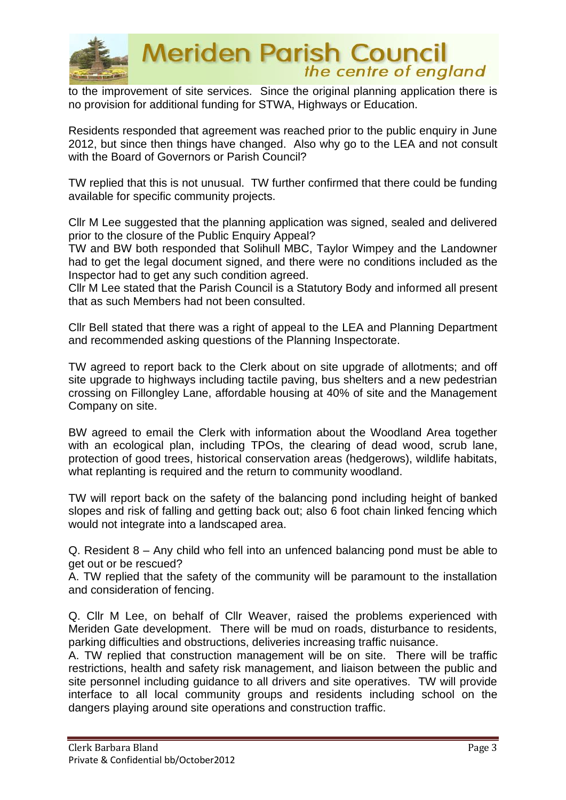

to the improvement of site services. Since the original planning application there is no provision for additional funding for STWA, Highways or Education.

Residents responded that agreement was reached prior to the public enquiry in June 2012, but since then things have changed. Also why go to the LEA and not consult with the Board of Governors or Parish Council?

TW replied that this is not unusual. TW further confirmed that there could be funding available for specific community projects.

Cllr M Lee suggested that the planning application was signed, sealed and delivered prior to the closure of the Public Enquiry Appeal?

TW and BW both responded that Solihull MBC, Taylor Wimpey and the Landowner had to get the legal document signed, and there were no conditions included as the Inspector had to get any such condition agreed.

Cllr M Lee stated that the Parish Council is a Statutory Body and informed all present that as such Members had not been consulted.

Cllr Bell stated that there was a right of appeal to the LEA and Planning Department and recommended asking questions of the Planning Inspectorate.

TW agreed to report back to the Clerk about on site upgrade of allotments; and off site upgrade to highways including tactile paving, bus shelters and a new pedestrian crossing on Fillongley Lane, affordable housing at 40% of site and the Management Company on site.

BW agreed to email the Clerk with information about the Woodland Area together with an ecological plan, including TPOs, the clearing of dead wood, scrub lane, protection of good trees, historical conservation areas (hedgerows), wildlife habitats, what replanting is required and the return to community woodland.

TW will report back on the safety of the balancing pond including height of banked slopes and risk of falling and getting back out; also 6 foot chain linked fencing which would not integrate into a landscaped area.

Q. Resident 8 – Any child who fell into an unfenced balancing pond must be able to get out or be rescued?

A. TW replied that the safety of the community will be paramount to the installation and consideration of fencing.

Q. Cllr M Lee, on behalf of Cllr Weaver, raised the problems experienced with Meriden Gate development. There will be mud on roads, disturbance to residents, parking difficulties and obstructions, deliveries increasing traffic nuisance.

A. TW replied that construction management will be on site. There will be traffic restrictions, health and safety risk management, and liaison between the public and site personnel including guidance to all drivers and site operatives. TW will provide interface to all local community groups and residents including school on the dangers playing around site operations and construction traffic.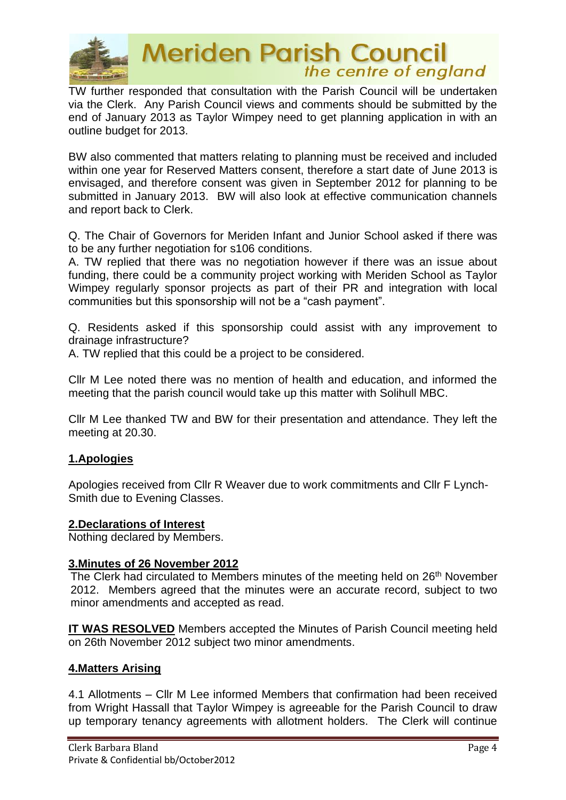

TW further responded that consultation with the Parish Council will be undertaken via the Clerk. Any Parish Council views and comments should be submitted by the end of January 2013 as Taylor Wimpey need to get planning application in with an outline budget for 2013.

BW also commented that matters relating to planning must be received and included within one year for Reserved Matters consent, therefore a start date of June 2013 is envisaged, and therefore consent was given in September 2012 for planning to be submitted in January 2013. BW will also look at effective communication channels and report back to Clerk.

Q. The Chair of Governors for Meriden Infant and Junior School asked if there was to be any further negotiation for s106 conditions.

A. TW replied that there was no negotiation however if there was an issue about funding, there could be a community project working with Meriden School as Taylor Wimpey regularly sponsor projects as part of their PR and integration with local communities but this sponsorship will not be a "cash payment".

Q. Residents asked if this sponsorship could assist with any improvement to drainage infrastructure?

A. TW replied that this could be a project to be considered.

Cllr M Lee noted there was no mention of health and education, and informed the meeting that the parish council would take up this matter with Solihull MBC.

Cllr M Lee thanked TW and BW for their presentation and attendance. They left the meeting at 20.30.

# **1.Apologies**

Apologies received from Cllr R Weaver due to work commitments and Cllr F Lynch-Smith due to Evening Classes.

#### **2.Declarations of Interest**

Nothing declared by Members.

#### **3.Minutes of 26 November 2012**

The Clerk had circulated to Members minutes of the meeting held on 26<sup>th</sup> November 2012. Members agreed that the minutes were an accurate record, subject to two minor amendments and accepted as read.

**IT WAS RESOLVED** Members accepted the Minutes of Parish Council meeting held on 26th November 2012 subject two minor amendments.

#### **4.Matters Arising**

4.1 Allotments – Cllr M Lee informed Members that confirmation had been received from Wright Hassall that Taylor Wimpey is agreeable for the Parish Council to draw up temporary tenancy agreements with allotment holders. The Clerk will continue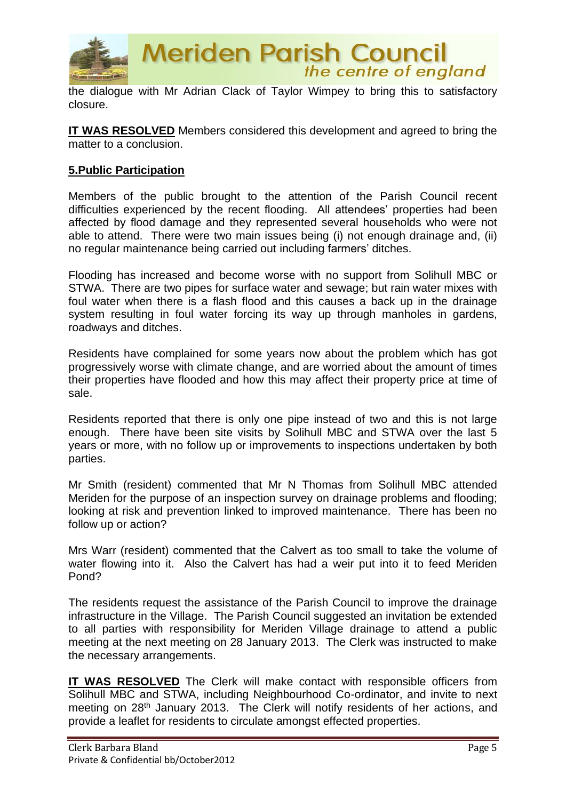

the dialogue with Mr Adrian Clack of Taylor Wimpey to bring this to satisfactory closure.

**IT WAS RESOLVED** Members considered this development and agreed to bring the matter to a conclusion.

#### **5.Public Participation**

Members of the public brought to the attention of the Parish Council recent difficulties experienced by the recent flooding. All attendees' properties had been affected by flood damage and they represented several households who were not able to attend. There were two main issues being (i) not enough drainage and, (ii) no regular maintenance being carried out including farmers' ditches.

Flooding has increased and become worse with no support from Solihull MBC or STWA. There are two pipes for surface water and sewage; but rain water mixes with foul water when there is a flash flood and this causes a back up in the drainage system resulting in foul water forcing its way up through manholes in gardens, roadways and ditches.

Residents have complained for some years now about the problem which has got progressively worse with climate change, and are worried about the amount of times their properties have flooded and how this may affect their property price at time of sale.

Residents reported that there is only one pipe instead of two and this is not large enough. There have been site visits by Solihull MBC and STWA over the last 5 years or more, with no follow up or improvements to inspections undertaken by both parties.

Mr Smith (resident) commented that Mr N Thomas from Solihull MBC attended Meriden for the purpose of an inspection survey on drainage problems and flooding; looking at risk and prevention linked to improved maintenance. There has been no follow up or action?

Mrs Warr (resident) commented that the Calvert as too small to take the volume of water flowing into it. Also the Calvert has had a weir put into it to feed Meriden Pond?

The residents request the assistance of the Parish Council to improve the drainage infrastructure in the Village. The Parish Council suggested an invitation be extended to all parties with responsibility for Meriden Village drainage to attend a public meeting at the next meeting on 28 January 2013. The Clerk was instructed to make the necessary arrangements.

**IT WAS RESOLVED** The Clerk will make contact with responsible officers from Solihull MBC and STWA, including Neighbourhood Co-ordinator, and invite to next meeting on 28<sup>th</sup> January 2013. The Clerk will notify residents of her actions, and provide a leaflet for residents to circulate amongst effected properties.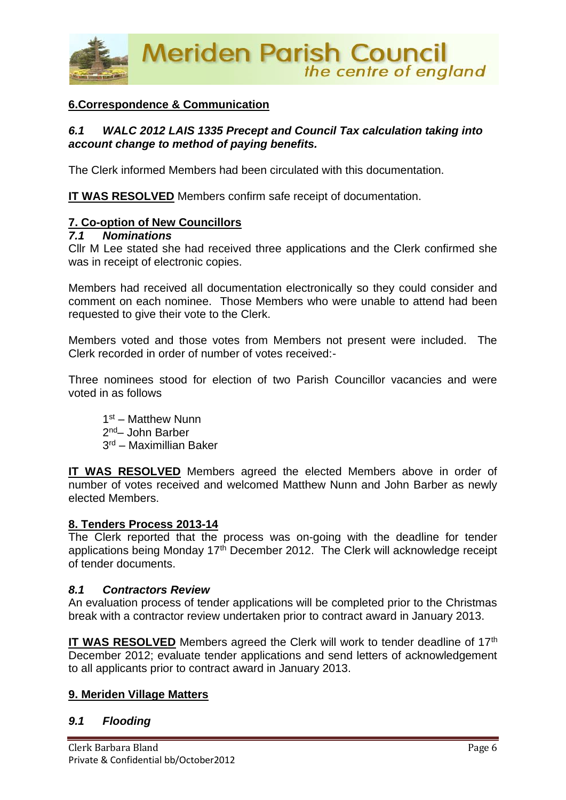

# **6.Correspondence & Communication**

#### *6.1 WALC 2012 LAIS 1335 Precept and Council Tax calculation taking into account change to method of paying benefits.*

The Clerk informed Members had been circulated with this documentation.

**IT WAS RESOLVED** Members confirm safe receipt of documentation.

#### **7. Co-option of New Councillors**

#### *7.1 Nominations*

Cllr M Lee stated she had received three applications and the Clerk confirmed she was in receipt of electronic copies.

Members had received all documentation electronically so they could consider and comment on each nominee. Those Members who were unable to attend had been requested to give their vote to the Clerk.

Members voted and those votes from Members not present were included. The Clerk recorded in order of number of votes received:-

Three nominees stood for election of two Parish Councillor vacancies and were voted in as follows

1<sup>st</sup> – Matthew Nunn 2<sup>nd</sup>– John Barber 3 rd – Maximillian Baker

**IT WAS RESOLVED** Members agreed the elected Members above in order of number of votes received and welcomed Matthew Nunn and John Barber as newly elected Members.

#### **8. Tenders Process 2013-14**

The Clerk reported that the process was on-going with the deadline for tender applications being Monday  $17<sup>th</sup>$  December 2012. The Clerk will acknowledge receipt of tender documents.

#### *8.1 Contractors Review*

An evaluation process of tender applications will be completed prior to the Christmas break with a contractor review undertaken prior to contract award in January 2013.

**IT WAS RESOLVED** Members agreed the Clerk will work to tender deadline of 17<sup>th</sup> December 2012; evaluate tender applications and send letters of acknowledgement to all applicants prior to contract award in January 2013.

#### **9. Meriden Village Matters**

#### *9.1 Flooding*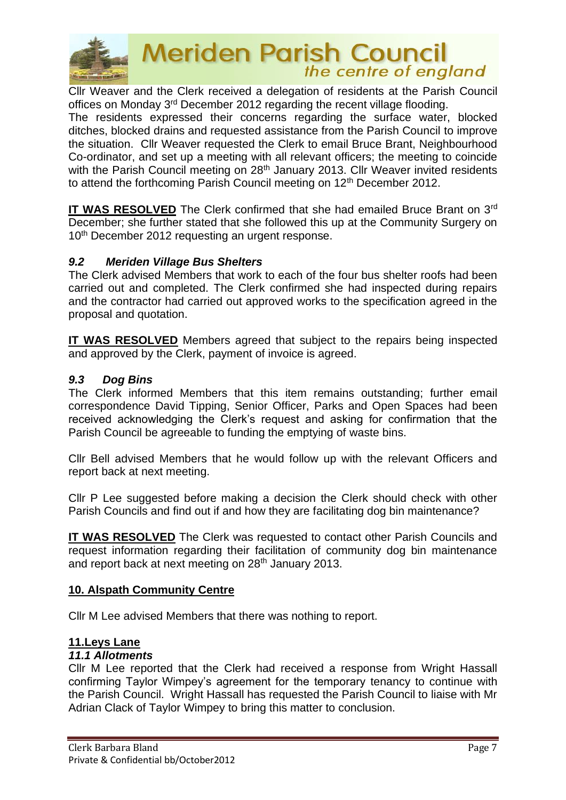

Cllr Weaver and the Clerk received a delegation of residents at the Parish Council offices on Monday 3rd December 2012 regarding the recent village flooding.

The residents expressed their concerns regarding the surface water, blocked ditches, blocked drains and requested assistance from the Parish Council to improve the situation. Cllr Weaver requested the Clerk to email Bruce Brant, Neighbourhood Co-ordinator, and set up a meeting with all relevant officers; the meeting to coincide with the Parish Council meeting on 28<sup>th</sup> January 2013. Cllr Weaver invited residents to attend the forthcoming Parish Council meeting on 12<sup>th</sup> December 2012.

**IT WAS RESOLVED** The Clerk confirmed that she had emailed Bruce Brant on 3<sup>rd</sup> December; she further stated that she followed this up at the Community Surgery on 10<sup>th</sup> December 2012 requesting an urgent response.

#### *9.2 Meriden Village Bus Shelters*

The Clerk advised Members that work to each of the four bus shelter roofs had been carried out and completed. The Clerk confirmed she had inspected during repairs and the contractor had carried out approved works to the specification agreed in the proposal and quotation.

**IT WAS RESOLVED** Members agreed that subject to the repairs being inspected and approved by the Clerk, payment of invoice is agreed.

#### *9.3 Dog Bins*

The Clerk informed Members that this item remains outstanding; further email correspondence David Tipping, Senior Officer, Parks and Open Spaces had been received acknowledging the Clerk's request and asking for confirmation that the Parish Council be agreeable to funding the emptying of waste bins.

Cllr Bell advised Members that he would follow up with the relevant Officers and report back at next meeting.

Cllr P Lee suggested before making a decision the Clerk should check with other Parish Councils and find out if and how they are facilitating dog bin maintenance?

**IT WAS RESOLVED** The Clerk was requested to contact other Parish Councils and request information regarding their facilitation of community dog bin maintenance and report back at next meeting on 28<sup>th</sup> January 2013.

# **10. Alspath Community Centre**

Cllr M Lee advised Members that there was nothing to report.

#### **11.Leys Lane**

#### *11.1 Allotments*

Cllr M Lee reported that the Clerk had received a response from Wright Hassall confirming Taylor Wimpey's agreement for the temporary tenancy to continue with the Parish Council. Wright Hassall has requested the Parish Council to liaise with Mr Adrian Clack of Taylor Wimpey to bring this matter to conclusion.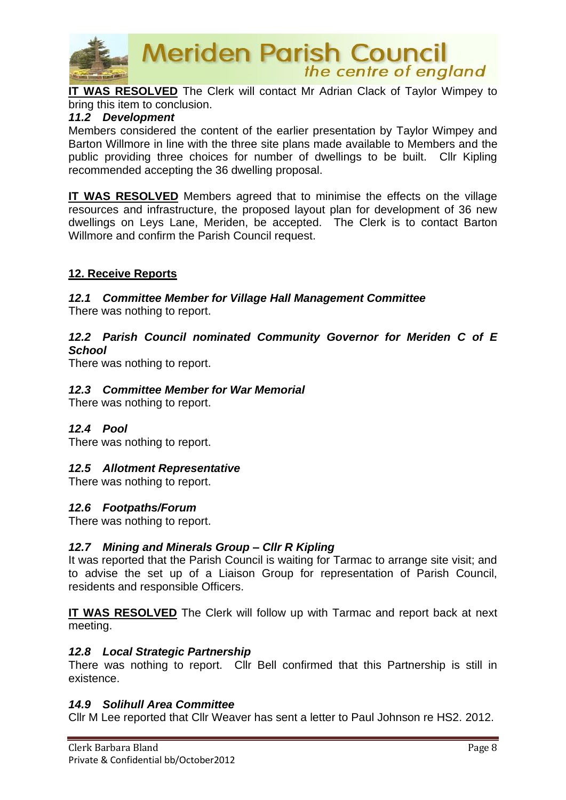

**IT WAS RESOLVED** The Clerk will contact Mr Adrian Clack of Taylor Wimpey to bring this item to conclusion.

#### *11.2 Development*

Members considered the content of the earlier presentation by Taylor Wimpey and Barton Willmore in line with the three site plans made available to Members and the public providing three choices for number of dwellings to be built. Cllr Kipling recommended accepting the 36 dwelling proposal.

**IT WAS RESOLVED** Members agreed that to minimise the effects on the village resources and infrastructure, the proposed layout plan for development of 36 new dwellings on Leys Lane, Meriden, be accepted. The Clerk is to contact Barton Willmore and confirm the Parish Council request.

#### **12. Receive Reports**

# *12.1 Committee Member for Village Hall Management Committee*

There was nothing to report.

#### *12.2 Parish Council nominated Community Governor for Meriden C of E School*

There was nothing to report.

#### *12.3 Committee Member for War Memorial*

There was nothing to report.

#### *12.4 Pool*

There was nothing to report.

#### *12.5 Allotment Representative*

There was nothing to report.

#### *12.6 Footpaths/Forum*

There was nothing to report.

#### *12.7 Mining and Minerals Group – Cllr R Kipling*

It was reported that the Parish Council is waiting for Tarmac to arrange site visit; and to advise the set up of a Liaison Group for representation of Parish Council, residents and responsible Officers.

**IT WAS RESOLVED** The Clerk will follow up with Tarmac and report back at next meeting.

#### *12.8 Local Strategic Partnership*

There was nothing to report. Cllr Bell confirmed that this Partnership is still in existence.

#### *14.9 Solihull Area Committee*

Cllr M Lee reported that Cllr Weaver has sent a letter to Paul Johnson re HS2. 2012.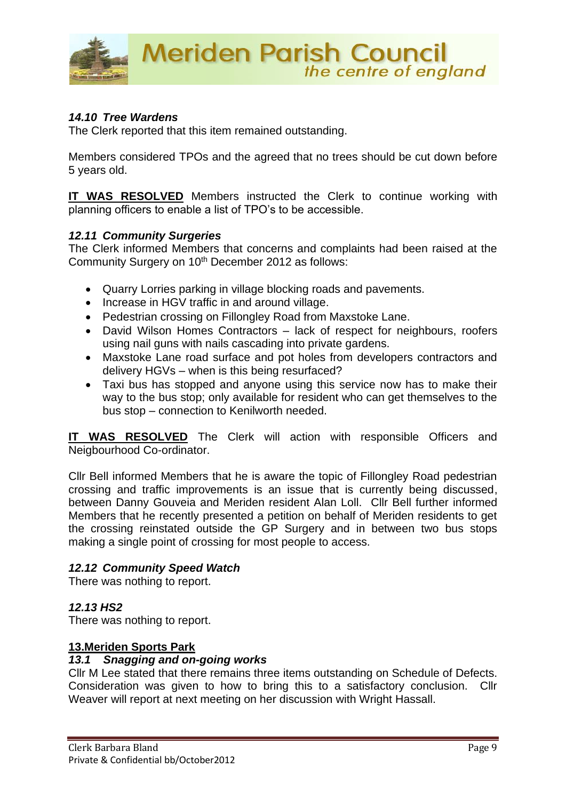

### *14.10 Tree Wardens*

The Clerk reported that this item remained outstanding.

Members considered TPOs and the agreed that no trees should be cut down before 5 years old.

**IT WAS RESOLVED** Members instructed the Clerk to continue working with planning officers to enable a list of TPO's to be accessible.

#### *12.11 Community Surgeries*

The Clerk informed Members that concerns and complaints had been raised at the Community Surgery on 10<sup>th</sup> December 2012 as follows:

- Quarry Lorries parking in village blocking roads and pavements.
- Increase in HGV traffic in and around village.
- Pedestrian crossing on Fillongley Road from Maxstoke Lane.
- David Wilson Homes Contractors lack of respect for neighbours, roofers using nail guns with nails cascading into private gardens.
- Maxstoke Lane road surface and pot holes from developers contractors and delivery HGVs – when is this being resurfaced?
- Taxi bus has stopped and anyone using this service now has to make their way to the bus stop; only available for resident who can get themselves to the bus stop – connection to Kenilworth needed.

**IT WAS RESOLVED** The Clerk will action with responsible Officers and Neigbourhood Co-ordinator.

Cllr Bell informed Members that he is aware the topic of Fillongley Road pedestrian crossing and traffic improvements is an issue that is currently being discussed, between Danny Gouveia and Meriden resident Alan Loll. Cllr Bell further informed Members that he recently presented a petition on behalf of Meriden residents to get the crossing reinstated outside the GP Surgery and in between two bus stops making a single point of crossing for most people to access.

# *12.12 Community Speed Watch*

There was nothing to report.

# *12.13 HS2*

There was nothing to report.

#### **13.Meriden Sports Park**

#### *13.1 Snagging and on-going works*

Cllr M Lee stated that there remains three items outstanding on Schedule of Defects. Consideration was given to how to bring this to a satisfactory conclusion. Cllr Weaver will report at next meeting on her discussion with Wright Hassall.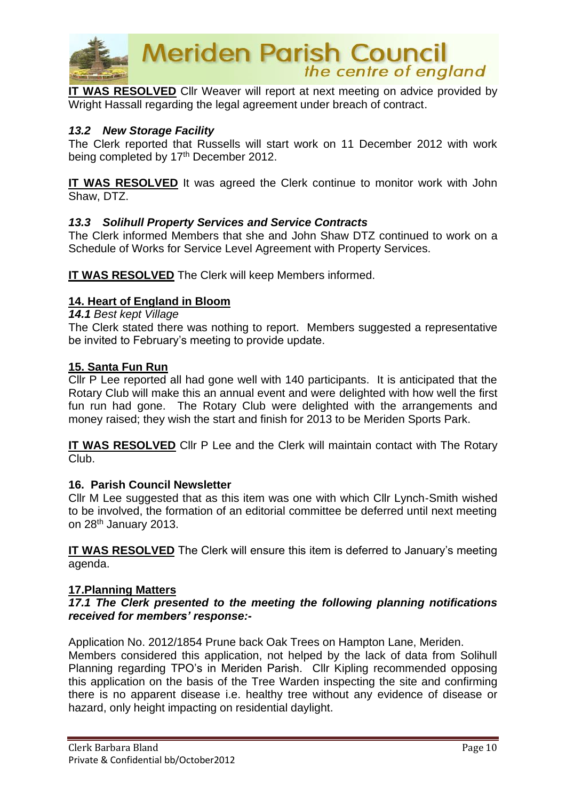

**IT WAS RESOLVED** Cllr Weaver will report at next meeting on advice provided by Wright Hassall regarding the legal agreement under breach of contract.

#### *13.2 New Storage Facility*

The Clerk reported that Russells will start work on 11 December 2012 with work being completed by 17<sup>th</sup> December 2012.

**IT WAS RESOLVED** It was agreed the Clerk continue to monitor work with John Shaw, DTZ.

#### *13.3 Solihull Property Services and Service Contracts*

The Clerk informed Members that she and John Shaw DTZ continued to work on a Schedule of Works for Service Level Agreement with Property Services.

**IT WAS RESOLVED** The Clerk will keep Members informed.

#### **14. Heart of England in Bloom**

*14.1 Best kept Village*

The Clerk stated there was nothing to report. Members suggested a representative be invited to February's meeting to provide update.

#### **15. Santa Fun Run**

Cllr P Lee reported all had gone well with 140 participants. It is anticipated that the Rotary Club will make this an annual event and were delighted with how well the first fun run had gone. The Rotary Club were delighted with the arrangements and money raised; they wish the start and finish for 2013 to be Meriden Sports Park.

**IT WAS RESOLVED** Cllr P Lee and the Clerk will maintain contact with The Rotary Club.

#### **16. Parish Council Newsletter**

Cllr M Lee suggested that as this item was one with which Cllr Lynch-Smith wished to be involved, the formation of an editorial committee be deferred until next meeting on 28th January 2013.

**IT WAS RESOLVED** The Clerk will ensure this item is deferred to January's meeting agenda.

#### **17.Planning Matters**

#### *17.1 The Clerk presented to the meeting the following planning notifications received for members' response:-*

Application No. 2012/1854 Prune back Oak Trees on Hampton Lane, Meriden.

Members considered this application, not helped by the lack of data from Solihull Planning regarding TPO's in Meriden Parish. Cllr Kipling recommended opposing this application on the basis of the Tree Warden inspecting the site and confirming there is no apparent disease i.e. healthy tree without any evidence of disease or hazard, only height impacting on residential daylight.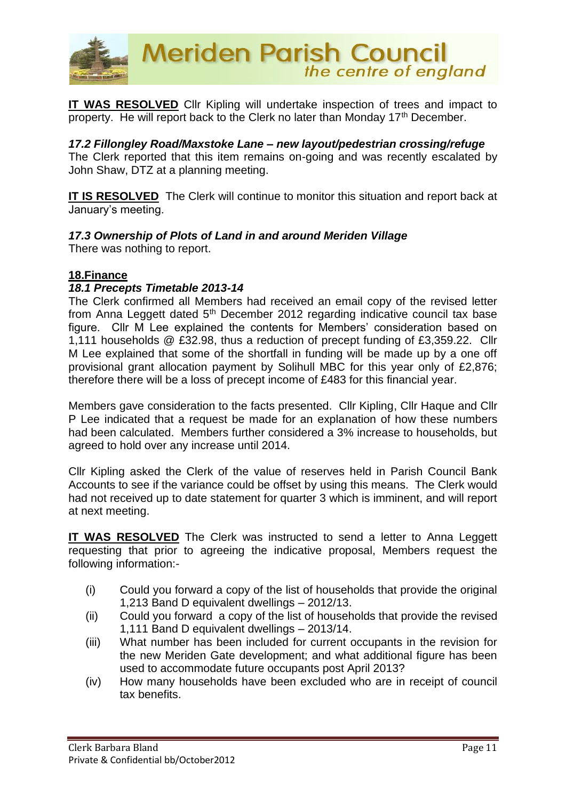

**IT WAS RESOLVED** Cllr Kipling will undertake inspection of trees and impact to property. He will report back to the Clerk no later than Monday 17<sup>th</sup> December.

*17.2 Fillongley Road/Maxstoke Lane – new layout/pedestrian crossing/refuge* The Clerk reported that this item remains on-going and was recently escalated by John Shaw, DTZ at a planning meeting.

**IT IS RESOLVED** The Clerk will continue to monitor this situation and report back at January's meeting.

#### *17.3 Ownership of Plots of Land in and around Meriden Village*

There was nothing to report.

#### **18.Finance**

#### *18.1 Precepts Timetable 2013-14*

The Clerk confirmed all Members had received an email copy of the revised letter from Anna Leggett dated  $5<sup>th</sup>$  December 2012 regarding indicative council tax base figure. Cllr M Lee explained the contents for Members' consideration based on 1,111 households @ £32.98, thus a reduction of precept funding of £3,359.22. Cllr M Lee explained that some of the shortfall in funding will be made up by a one off provisional grant allocation payment by Solihull MBC for this year only of £2,876; therefore there will be a loss of precept income of £483 for this financial year.

Members gave consideration to the facts presented. Cllr Kipling, Cllr Haque and Cllr P Lee indicated that a request be made for an explanation of how these numbers had been calculated. Members further considered a 3% increase to households, but agreed to hold over any increase until 2014.

Cllr Kipling asked the Clerk of the value of reserves held in Parish Council Bank Accounts to see if the variance could be offset by using this means. The Clerk would had not received up to date statement for quarter 3 which is imminent, and will report at next meeting.

**IT WAS RESOLVED** The Clerk was instructed to send a letter to Anna Leggett requesting that prior to agreeing the indicative proposal, Members request the following information:-

- (i) Could you forward a copy of the list of households that provide the original 1,213 Band D equivalent dwellings – 2012/13.
- (ii) Could you forward a copy of the list of households that provide the revised 1,111 Band D equivalent dwellings – 2013/14.
- (iii) What number has been included for current occupants in the revision for the new Meriden Gate development; and what additional figure has been used to accommodate future occupants post April 2013?
- (iv) How many households have been excluded who are in receipt of council tax benefits.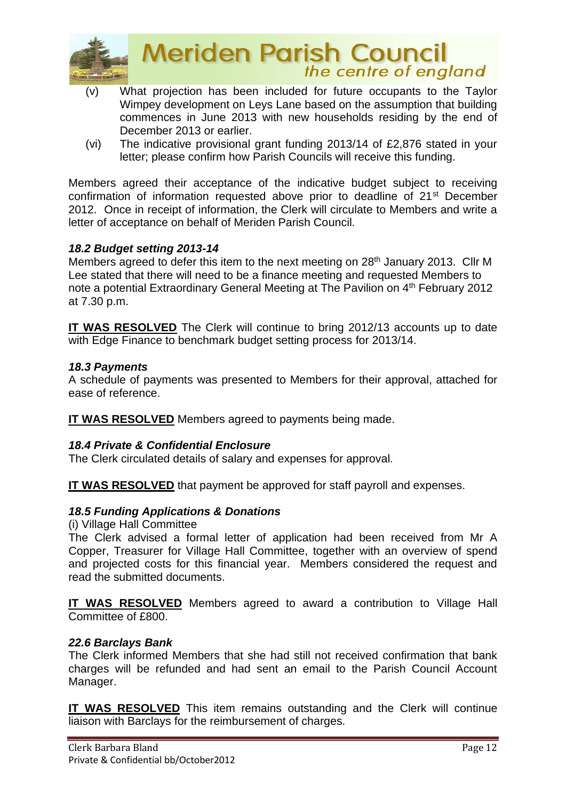

- (v) What projection has been included for future occupants to the Taylor Wimpey development on Leys Lane based on the assumption that building commences in June 2013 with new households residing by the end of December 2013 or earlier.
- (vi) The indicative provisional grant funding 2013/14 of £2,876 stated in your letter; please confirm how Parish Councils will receive this funding.

Members agreed their acceptance of the indicative budget subject to receiving confirmation of information requested above prior to deadline of 21st December 2012. Once in receipt of information, the Clerk will circulate to Members and write a letter of acceptance on behalf of Meriden Parish Council.

# *18.2 Budget setting 2013-14*

Members agreed to defer this item to the next meeting on 28<sup>th</sup> January 2013. Cllr M Lee stated that there will need to be a finance meeting and requested Members to note a potential Extraordinary General Meeting at The Pavilion on 4<sup>th</sup> February 2012 at 7.30 p.m.

**IT WAS RESOLVED** The Clerk will continue to bring 2012/13 accounts up to date with Edge Finance to benchmark budget setting process for 2013/14.

#### *18.3 Payments*

A schedule of payments was presented to Members for their approval, attached for ease of reference.

**IT WAS RESOLVED** Members agreed to payments being made.

#### *18.4 Private & Confidential Enclosure*

The Clerk circulated details of salary and expenses for approval.

**IT WAS RESOLVED** that payment be approved for staff payroll and expenses.

#### *18.5 Funding Applications & Donations*

(i) Village Hall Committee

The Clerk advised a formal letter of application had been received from Mr A Copper, Treasurer for Village Hall Committee, together with an overview of spend and projected costs for this financial year. Members considered the request and read the submitted documents.

**IT WAS RESOLVED** Members agreed to award a contribution to Village Hall Committee of £800.

#### *22.6 Barclays Bank*

The Clerk informed Members that she had still not received confirmation that bank charges will be refunded and had sent an email to the Parish Council Account Manager.

**IT WAS RESOLVED** This item remains outstanding and the Clerk will continue liaison with Barclays for the reimbursement of charges.